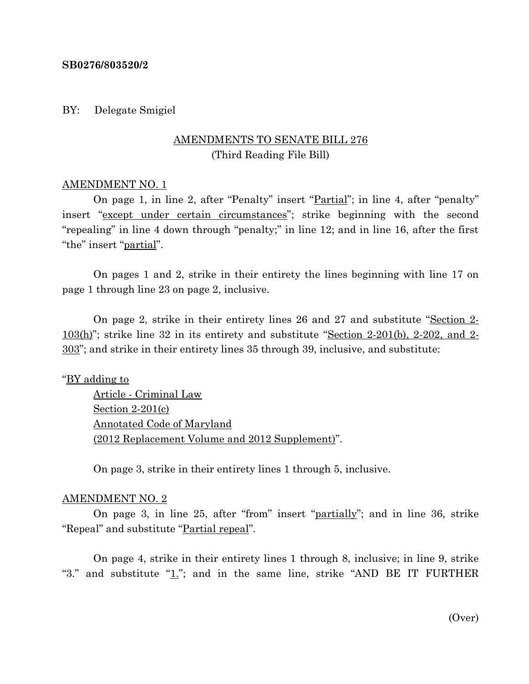### **SB0276/803520/2**

### BY: Delegate Smigiel

# AMENDMENTS TO SENATE BILL 276 (Third Reading File Bill)

## AMENDMENT NO. 1

On page 1, in line 2, after "Penalty" insert "Partial"; in line 4, after "penalty" insert "except under certain circumstances"; strike beginning with the second "repealing" in line 4 down through "penalty;" in line 12; and in line 16, after the first "the" insert "partial".

On pages 1 and 2, strike in their entirety the lines beginning with line 17 on page 1 through line 23 on page 2, inclusive.

On page 2, strike in their entirety lines 26 and 27 and substitute "Section 2-  $103(h)$ "; strike line 32 in its entirety and substitute "Section 2-201(b), 2-202, and 2-303"; and strike in their entirety lines 35 through 39, inclusive, and substitute:

## "BY adding to

Article - Criminal Law Section 2-201(c) Annotated Code of Maryland (2012 Replacement Volume and 2012 Supplement)".

On page 3, strike in their entirety lines 1 through 5, inclusive.

#### AMENDMENT NO. 2

On page 3, in line 25, after "from" insert "partially"; and in line 36, strike "Repeal" and substitute "Partial repeal".

On page 4, strike in their entirety lines 1 through 8, inclusive; in line 9, strike "3." and substitute " $1$ ."; and in the same line, strike "AND BE IT FURTHER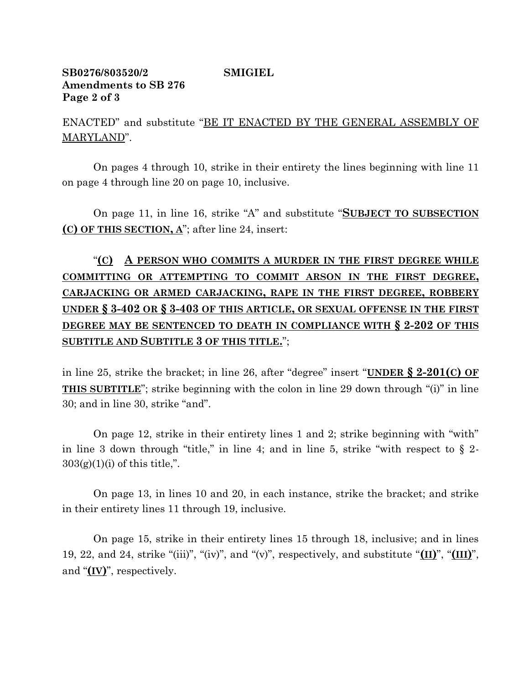## **SB0276/803520/2 SMIGIEL Amendments to SB 276 Page 2 of 3**

ENACTED" and substitute "BE IT ENACTED BY THE GENERAL ASSEMBLY OF MARYLAND".

On pages 4 through 10, strike in their entirety the lines beginning with line 11 on page 4 through line 20 on page 10, inclusive.

On page 11, in line 16, strike "A" and substitute "**SUBJECT TO SUBSECTION (C) OF THIS SECTION, A**"; after line 24, insert:

"**(C) A PERSON WHO COMMITS A MURDER IN THE FIRST DEGREE WHILE COMMITTING OR ATTEMPTING TO COMMIT ARSON IN THE FIRST DEGREE, CARJACKING OR ARMED CARJACKING, RAPE IN THE FIRST DEGREE, ROBBERY UNDER § 3-402 OR § 3-403 OF THIS ARTICLE, OR SEXUAL OFFENSE IN THE FIRST DEGREE MAY BE SENTENCED TO DEATH IN COMPLIANCE WITH § 2-202 OF THIS SUBTITLE AND SUBTITLE 3 OF THIS TITLE.**";

in line 25, strike the bracket; in line 26, after "degree" insert "**UNDER § 2-201(C) OF THIS SUBTITLE**"; strike beginning with the colon in line 29 down through "(i)" in line 30; and in line 30, strike "and".

On page 12, strike in their entirety lines 1 and 2; strike beginning with "with" in line 3 down through "title," in line 4; and in line 5, strike "with respect to  $\S$  2- $303(g)(1)(i)$  of this title,".

On page 13, in lines 10 and 20, in each instance, strike the bracket; and strike in their entirety lines 11 through 19, inclusive.

On page 15, strike in their entirety lines 15 through 18, inclusive; and in lines 19, 22, and 24, strike "(iii)", "(iv)", and "(v)", respectively, and substitute "**(II)**", "**(III)**", and "**(IV)**", respectively.